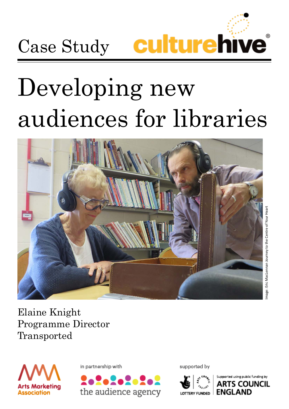

# Developing new audiences for libraries



Image: Eric MacLennan Journey to the Centre of Your Heartmage: Eric MacLennan Journey to the Centre of Your Heart

Elaine Knight Programme Director Transported



in partnership with



supported by



orted usina public funding by s council **ENGLAN**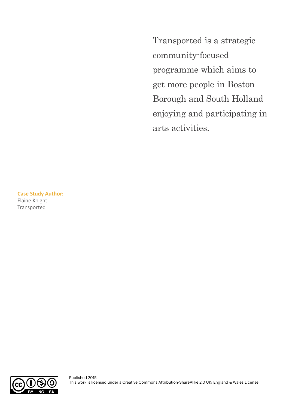Transported is a strategic community-focused programme which aims to get more people in Boston Borough and South Holland enjoying and participating in arts activities.

**Case Study Author:**  Elaine Knight Transported

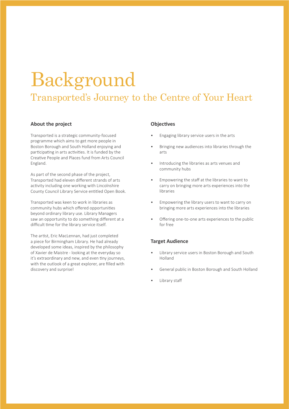### Background Transported's Journey to the Centre of Your Heart

#### **About the project**

Transported is a strategic community-focused programme which aims to get more people in Boston Borough and South Holland enjoying and participating in arts activities. It is funded by the Creative People and Places fund from Arts Council England.

As part of the second phase of the project, Transported had eleven different strands of arts activity including one working with Lincolnshire County Council Library Service entitled Open Book.

Transported was keen to work in libraries as community hubs which offered opportunities beyond ordinary library use. Library Managers saw an opportunity to do something different at a difficult time for the library service itself.

The artist, Eric MacLennan, had just completed a piece for Birmingham Library. He had already developed some ideas, inspired by the philosophy of Xavier de Maistre - looking at the everyday so it's extraordinary and new, and even tiny journeys, with the outlook of a great explorer, are filled with discovery and surprise!

#### **Objectives**

- Engaging library service users in the arts
- Bringing new audiences into libraries through the arts
- Introducing the libraries as arts venues and community hubs
- Empowering the staff at the libraries to want to carry on bringing more arts experiences into the libraries
- Empowering the library users to want to carry on bringing more arts experiences into the libraries
- Offering one-to-one arts experiences to the public for free

#### **Target Audience**

- Library service users in Boston Borough and South Holland
- General public in Boston Borough and South Holland
- Library staff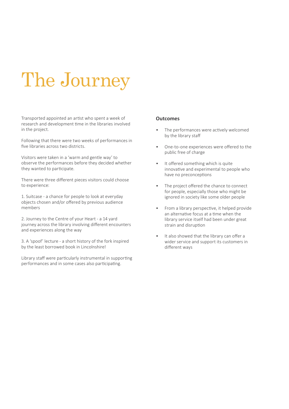## The Journey

Transported appointed an artist who spent a week of research and development time in the libraries involved in the project.

Following that there were two weeks of performances in five libraries across two districts.

Visitors were taken in a 'warm and gentle way' to observe the performances before they decided whether they wanted to participate.

There were three different pieces visitors could choose to experience:

1. Suitcase - a chance for people to look at everyday objects chosen and/or offered by previous audience members

2. Journey to the Centre of your Heart - a 14 yard journey across the library involving different encounters and experiences along the way

3. A 'spoof' lecture - a short history of the fork inspired by the least borrowed book in Lincolnshire!

Library staff were particularly instrumental in supporting performances and in some cases also participating.

#### **Outcomes**

- The performances were actively welcomed by the library staff
- One-to-one experiences were offered to the public free of charge
- It offered something which is quite innovative and experimental to people who have no preconceptions
- The project offered the chance to connect for people, especially those who might be ignored in society like some older people
- From a library perspective, it helped provide an alternative focus at a time when the library service itself had been under great strain and disruption
- It also showed that the library can offer a wider service and support its customers in different ways